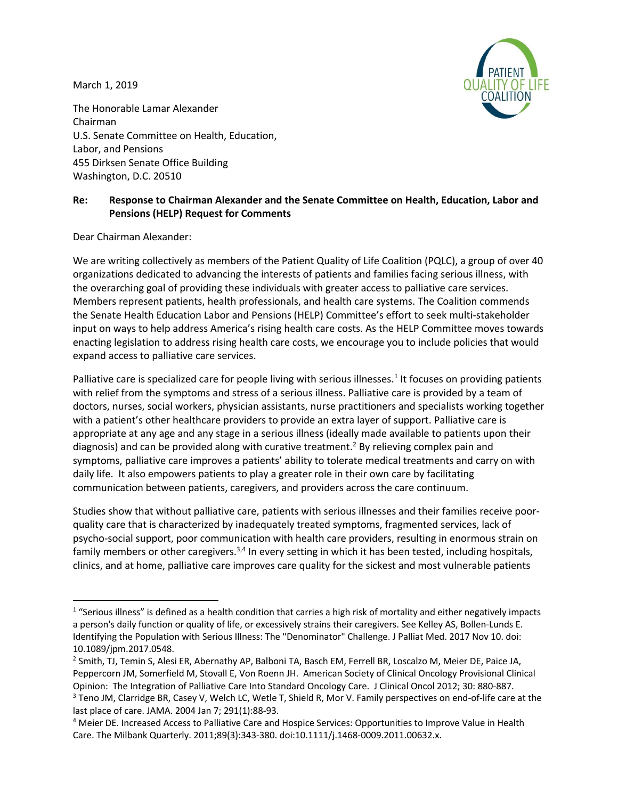March 1, 2019



The Honorable Lamar Alexander Chairman U.S. Senate Committee on Health, Education, Labor, and Pensions 455 Dirksen Senate Office Building Washington, D.C. 20510

## **Re: Response to Chairman Alexander and the Senate Committee on Health, Education, Labor and Pensions (HELP) Request for Comments**

Dear Chairman Alexander:

We are writing collectively as members of the Patient Quality of Life Coalition (PQLC), a group of over 40 organizations dedicated to advancing the interests of patients and families facing serious illness, with the overarching goal of providing these individuals with greater access to palliative care services. Members represent patients, health professionals, and health care systems. The Coalition commends the Senate Health Education Labor and Pensions (HELP) Committee's effort to seek multi-stakeholder input on ways to help address America's rising health care costs. As the HELP Committee moves towards enacting legislation to address rising health care costs, we encourage you to include policies that would expand access to palliative care services.

Palliative care is specialized care for people living with serious illnesses.<sup>1</sup> It focuses on providing patients with relief from the symptoms and stress of a serious illness. Palliative care is provided by a team of doctors, nurses, social workers, physician assistants, nurse practitioners and specialists working together with a patient's other healthcare providers to provide an extra layer of support. Palliative care is appropriate at any age and any stage in a serious illness (ideally made available to patients upon their diagnosis) and can be provided along with curative treatment.<sup>2</sup> By relieving complex pain and symptoms, palliative care improves a patients' ability to tolerate medical treatments and carry on with daily life. It also empowers patients to play a greater role in their own care by facilitating communication between patients, caregivers, and providers across the care continuum.

Studies show that without palliative care, patients with serious illnesses and their families receive poorquality care that is characterized by inadequately treated symptoms, fragmented services, lack of psycho-social support, poor communication with health care providers, resulting in enormous strain on family members or other caregivers.<sup>3,4</sup> In every setting in which it has been tested, including hospitals, clinics, and at home, palliative care improves care quality for the sickest and most vulnerable patients

 $1$  "Serious illness" is defined as a health condition that carries a high risk of mortality and either negatively impacts a person's daily function or quality of life, or excessively strains their caregivers. See Kelley AS, Bollen-Lunds E. Identifying the Population with Serious Illness: The "Denominator" Challenge. J Palliat Med. 2017 Nov 10. doi: 10.1089/jpm.2017.0548.

<sup>&</sup>lt;sup>2</sup> Smith, TJ, Temin S, Alesi ER, Abernathy AP, Balboni TA, Basch EM, Ferrell BR, Loscalzo M, Meier DE, Paice JA, Peppercorn JM, Somerfield M, Stovall E, Von Roenn JH. American Society of Clinical Oncology Provisional Clinical Opinion: The Integration of Palliative Care Into Standard Oncology Care. J Clinical Oncol 2012; 30: 880-887. <sup>3</sup> Teno JM, Clarridge BR, Casey V, Welch LC, Wetle T, Shield R, Mor V. Family perspectives on end-of-life care at the

last place of care. JAMA. 2004 Jan 7; 291(1):88-93.

<sup>4</sup> Meier DE. Increased Access to Palliative Care and Hospice Services: Opportunities to Improve Value in Health Care. The Milbank Quarterly. 2011;89(3):343-380. doi:10.1111/j.1468-0009.2011.00632.x.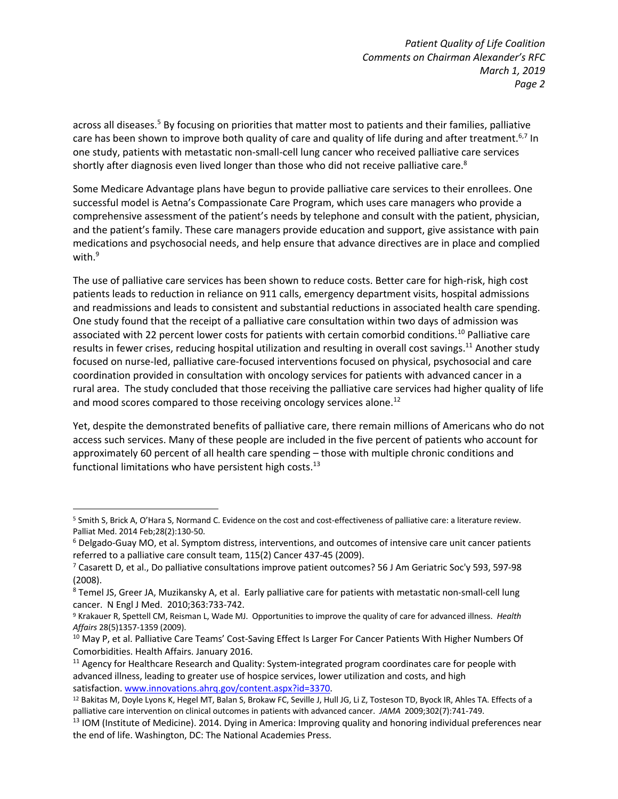*Patient Quality of Life Coalition Comments on Chairman Alexander's RFC March 1, 2019 Page 2*

across all diseases.<sup>5</sup> By focusing on priorities that matter most to patients and their families, palliative care has been shown to improve both quality of care and quality of life during and after treatment.<sup>6,7</sup> In one study, patients with metastatic non-small-cell lung cancer who received palliative care services shortly after diagnosis even lived longer than those who did not receive palliative care.<sup>8</sup>

Some Medicare Advantage plans have begun to provide palliative care services to their enrollees. One successful model is Aetna's Compassionate Care Program, which uses care managers who provide a comprehensive assessment of the patient's needs by telephone and consult with the patient, physician, and the patient's family. These care managers provide education and support, give assistance with pain medications and psychosocial needs, and help ensure that advance directives are in place and complied with. $9$ 

The use of palliative care services has been shown to reduce costs. Better care for high-risk, high cost patients leads to reduction in reliance on 911 calls, emergency department visits, hospital admissions and readmissions and leads to consistent and substantial reductions in associated health care spending. One study found that the receipt of a palliative care consultation within two days of admission was associated with 22 percent lower costs for patients with certain comorbid conditions.10 Palliative care results in fewer crises, reducing hospital utilization and resulting in overall cost savings.11 Another study focused on nurse-led, palliative care-focused interventions focused on physical, psychosocial and care coordination provided in consultation with oncology services for patients with advanced cancer in a rural area. The study concluded that those receiving the palliative care services had higher quality of life and mood scores compared to those receiving oncology services alone.<sup>12</sup>

Yet, despite the demonstrated benefits of palliative care, there remain millions of Americans who do not access such services. Many of these people are included in the five percent of patients who account for approximately 60 percent of all health care spending – those with multiple chronic conditions and functional limitations who have persistent high costs. $^{13}$ 

 <sup>5</sup> Smith S, Brick A, O'Hara S, Normand C. Evidence on the cost and cost-effectiveness of palliative care: a literature review. Palliat Med. 2014 Feb;28(2):130-50.

<sup>6</sup> Delgado-Guay MO, et al. Symptom distress, interventions, and outcomes of intensive care unit cancer patients referred to a palliative care consult team, 115(2) Cancer 437-45 (2009).

 $7$  Casarett D, et al., Do palliative consultations improve patient outcomes? 56 J Am Geriatric Soc'y 593, 597-98 (2008).

<sup>8</sup> Temel JS, Greer JA, Muzikansky A, et al. Early palliative care for patients with metastatic non-small-cell lung cancer. N Engl J Med. 2010;363:733-742.

<sup>9</sup> Krakauer R, Spettell CM, Reisman L, Wade MJ. Opportunities to improve the quality of care for advanced illness. *Health Affairs* 28(5)1357-1359 (2009).

<sup>&</sup>lt;sup>10</sup> May P, et al. Palliative Care Teams' Cost-Saving Effect Is Larger For Cancer Patients With Higher Numbers Of Comorbidities. Health Affairs. January 2016.

<sup>&</sup>lt;sup>11</sup> Agency for Healthcare Research and Quality: System-integrated program coordinates care for people with advanced illness, leading to greater use of hospice services, lower utilization and costs, and high satisfaction. www.innovations.ahrq.gov/content.aspx?id=3370.

<sup>12</sup> Bakitas M, Doyle Lyons K, Hegel MT, Balan S, Brokaw FC, Seville J, Hull JG, Li Z, Tosteson TD, Byock IR, Ahles TA. Effects of a palliative care intervention on clinical outcomes in patients with advanced cancer. *JAMA* 2009;302(7):741-749.

<sup>&</sup>lt;sup>13</sup> IOM (Institute of Medicine). 2014. Dying in America: Improving quality and honoring individual preferences near the end of life. Washington, DC: The National Academies Press.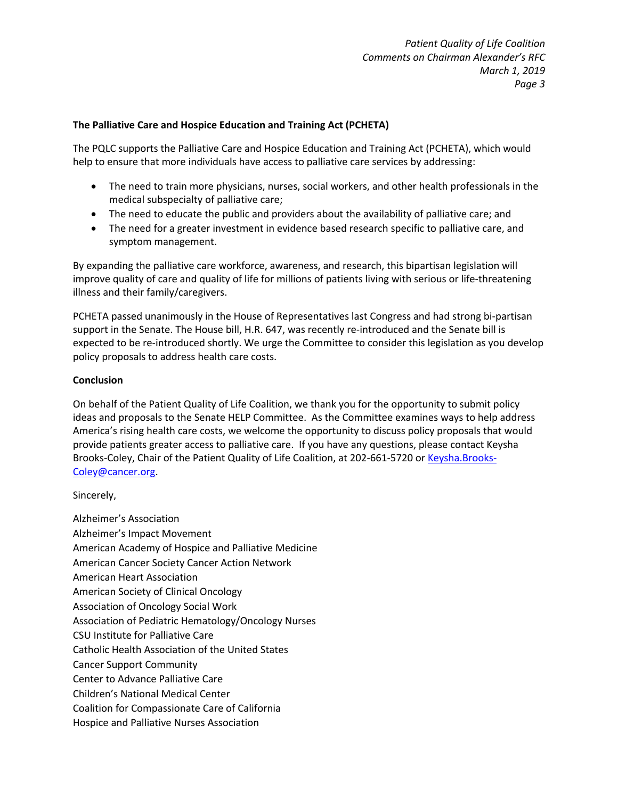## **The Palliative Care and Hospice Education and Training Act (PCHETA)**

The PQLC supports the Palliative Care and Hospice Education and Training Act (PCHETA), which would help to ensure that more individuals have access to palliative care services by addressing:

- The need to train more physicians, nurses, social workers, and other health professionals in the medical subspecialty of palliative care;
- The need to educate the public and providers about the availability of palliative care; and
- The need for a greater investment in evidence based research specific to palliative care, and symptom management.

By expanding the palliative care workforce, awareness, and research, this bipartisan legislation will improve quality of care and quality of life for millions of patients living with serious or life-threatening illness and their family/caregivers.

PCHETA passed unanimously in the House of Representatives last Congress and had strong bi-partisan support in the Senate. The House bill, H.R. 647, was recently re-introduced and the Senate bill is expected to be re-introduced shortly. We urge the Committee to consider this legislation as you develop policy proposals to address health care costs.

## **Conclusion**

On behalf of the Patient Quality of Life Coalition, we thank you for the opportunity to submit policy ideas and proposals to the Senate HELP Committee. As the Committee examines ways to help address America's rising health care costs, we welcome the opportunity to discuss policy proposals that would provide patients greater access to palliative care. If you have any questions, please contact Keysha Brooks-Coley, Chair of the Patient Quality of Life Coalition, at 202-661-5720 or Keysha.Brooks-Coley@cancer.org.

## Sincerely,

Alzheimer's Association Alzheimer's Impact Movement American Academy of Hospice and Palliative Medicine American Cancer Society Cancer Action Network American Heart Association American Society of Clinical Oncology Association of Oncology Social Work Association of Pediatric Hematology/Oncology Nurses CSU Institute for Palliative Care Catholic Health Association of the United States Cancer Support Community Center to Advance Palliative Care Children's National Medical Center Coalition for Compassionate Care of California Hospice and Palliative Nurses Association